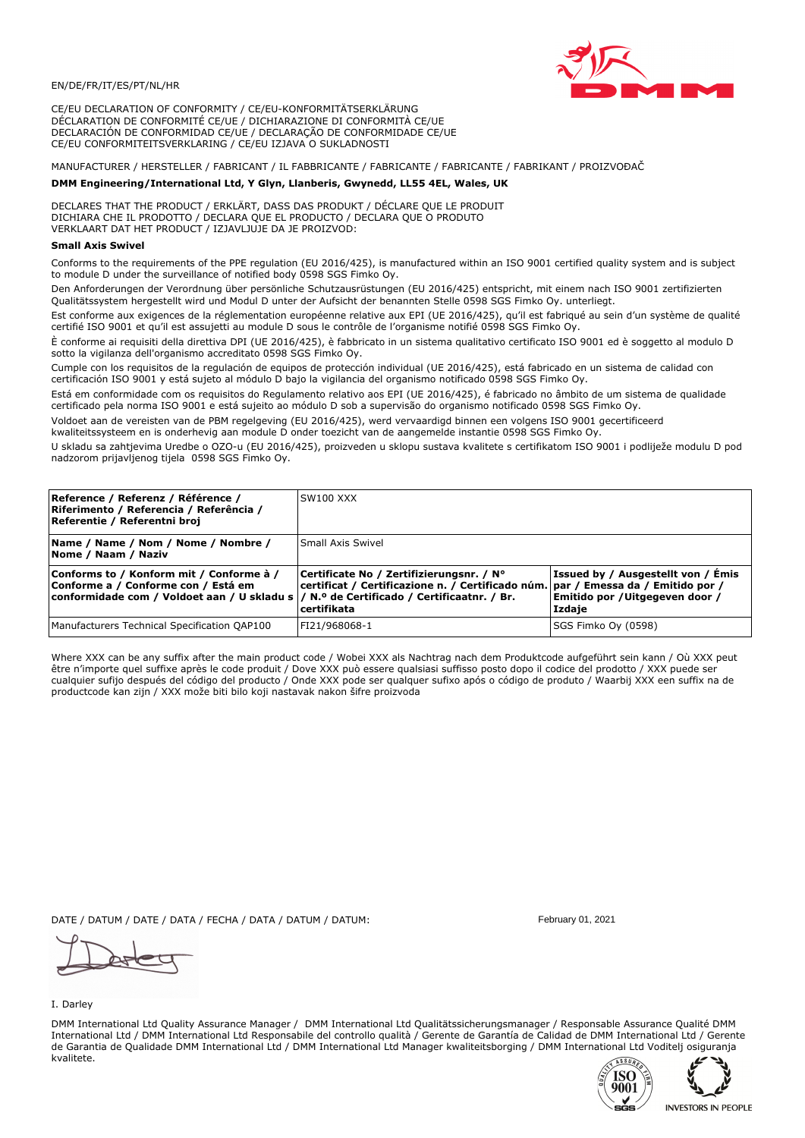

CE/EU DECLARATION OF CONFORMITY / CE/EU-KONFORMITÄTSERKLÄRUNG DÉCLARATION DE CONFORMITÉ CE/UE / DICHIARAZIONE DI CONFORMITÀ CE/UE DECLARACIÓN DE CONFORMIDAD CE/UE / DECLARAÇÃO DE CONFORMIDADE CE/UE CE/EU CONFORMITEITSVERKLARING / CE/EU IZJAVA O SUKLADNOSTI

# MANUFACTURER / HERSTELLER / FABRICANT / IL FABBRICANTE / FABRICANTE / FABRICANTE / FABRIKANT / PROIZVOĐAČ

# DMM Engineering/International Ltd, Y Glyn, Llanberis, Gwynedd, LL55 4EL, Wales, UK

DECLARES THAT THE PRODUCT / ERKLÄRT, DASS DAS PRODUKT / DÉCLARE QUE LE PRODUIT<br>DICHIARA CHE IL PRODOTTO / DECLARA QUE EL PRODUCTO / DECLARA QUE O PRODUTO VERKLAART DAT HET PRODUCT / IZJAVLJUJE DA JE PROIZVOD:

## **Small Axis Swivel**

Conforms to the requirements of the PPE regulation (EU 2016/425), is manufactured within an ISO 9001 certified quality system and is subject to module D under the surveillance of notified body 0598 SGS Fimko Ov.

Den Anforderungen der Verordnung über persönliche Schutzausrüstungen (EU 2016/425) entspricht, mit einem nach ISO 9001 zertifizierten Qualitätssystem hergestellt wird und Modul D unter der Aufsicht der benannten Stelle 0598 SGS Fimko Oy. unterliegt.

Est conforme aux exigences de la réglementation européenne relative aux EPI (UE 2016/425), qu'il est fabriqué au sein d'un système de qualité certifié ISO 9001 et qu'il est assujetti au module D sous le contrôle de l'organisme notifié 0598 SGS Fimko Oy.

È conforme ai requisiti della direttiva DPI (UE 2016/425), è fabbricato in un sistema qualitativo certificato ISO 9001 ed è soggetto al modulo D sotto la vigilanza dell'organismo accreditato 0598 SGS Fimko Oy.

Cumple con los requisitos de la regulación de equipos de protección individual (UE 2016/425), está fabricado en un sistema de calidad con certificación ISO 9001 y está sujeto al módulo D bajo la vigilancia del organismo notificado 0598 SGS Fimko Oy.

Está em conformidade com os requisitos do Regulamento relativo aos EPI (UE 2016/425), é fabricado no âmbito de um sistema de qualidade certificado pela norma ISO 9001 e está sujeito ao módulo D sob a supervisão do organismo notificado 0598 SGS Fimko Oy.

Voldoet aan de vereisten van de PBM regelgeving (EU 2016/425), werd vervaardigd binnen een volgens ISO 9001 gecertificeerd kwaliteitssysteem en is onderhevig aan module D onder toezicht van de aangemelde instantie 0598 SGS Fimko Oy.

U skladu sa zahtjevima Uredbe o OZO-u (EU 2016/425), proizveden u sklopu sustava kvalitete s certifikatom ISO 9001 i podliježe modulu D pod nadzorom prijavljenog tijela 0598 SGS Fimko Oy.

| Reference / Referenz / Référence /<br>Riferimento / Referencia / Referência /<br>Referentie / Referentni broj                                                               | <b>SW100 XXX</b>                                                                                                                             |                                                                                |
|-----------------------------------------------------------------------------------------------------------------------------------------------------------------------------|----------------------------------------------------------------------------------------------------------------------------------------------|--------------------------------------------------------------------------------|
| Name / Name / Nom / Nome / Nombre /<br>Nome / Naam / Naziv                                                                                                                  | Small Axis Swivel                                                                                                                            |                                                                                |
| Conforms to / Konform mit / Conforme à /<br>Conforme a / Conforme con / Está em<br>conformidade com / Voldoet aan / U skladu s  / N.º de Certificado / Certificaatnr. / Br. | Certificate No / Zertifizierungsnr. / N°<br>certificat / Certificazione n. / Certificado núm. par / Emessa da / Emitido por /<br>certifikata | Issued by / Ausgestellt von / Émis<br>Emitido por /Uitgegeven door /<br>Izdaje |
| Manufacturers Technical Specification QAP100                                                                                                                                | FI21/968068-1                                                                                                                                | SGS Fimko Oy (0598)                                                            |

Where XXX can be any suffix after the main product code / Wobei XXX als Nachtrag nach dem Produktcode aufgeführt sein kann / Où XXX peut être n'importe quel suffixe après le code produit / Dove XXX può essere qualsiasi suffisso posto dopo il codice del prodotto / XXX puede ser<br>cualquier sufijo después del código del producto / Onde XXX pode ser qualquer suf productcode kan zijn / XXX može biti bilo koji nastavak nakon šifre proizvoda

DATE / DATUM / DATE / DATA / FECHA / DATA / DATUM / DATUM:

### I. Darley

DMM International Ltd Quality Assurance Manager / DMM International Ltd Qualitätssicherungsmanager / Responsable Assurance Qualité DMM International Ltd / DMM International Ltd Responsabile del controllo qualità / Gerente de Garantía de Calidad de DMM International Ltd / Gerente de Garantia de Qualidade DMM International Ltd / DMM International Ltd Manager kwaliteitsborging / DMM International Ltd Voditelj osiguranja kvalitete.





February 01, 2021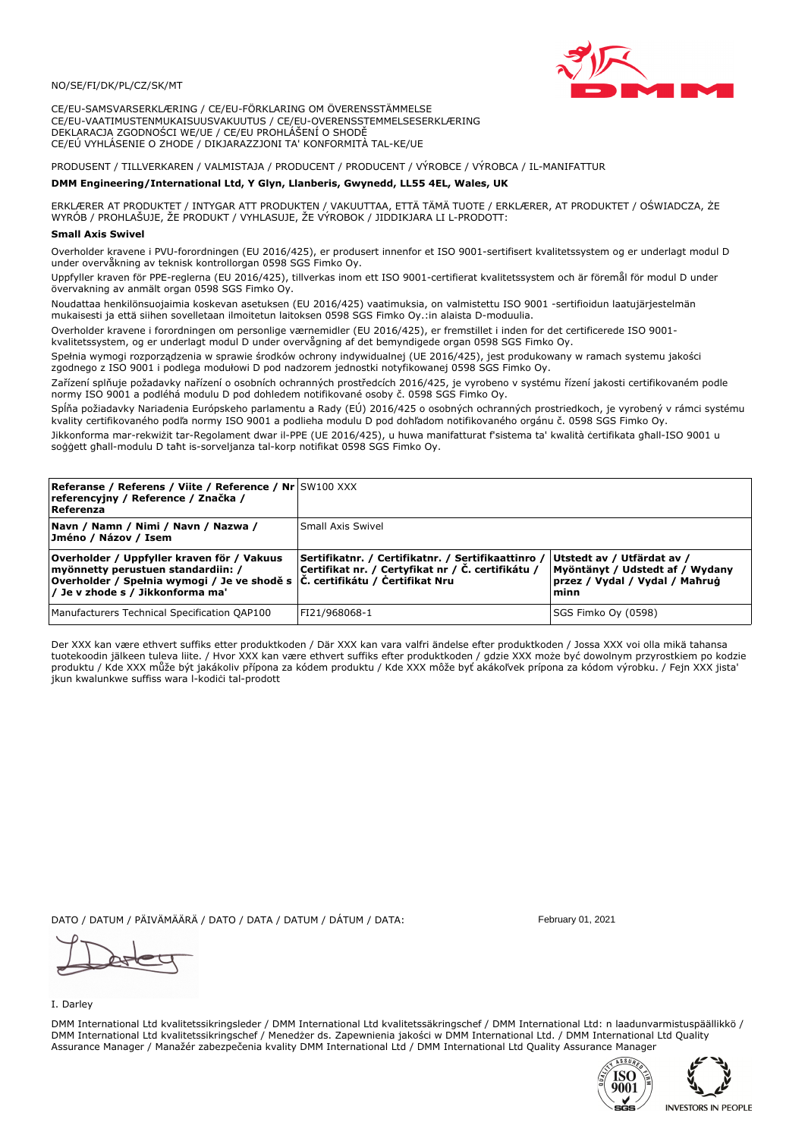

CE/EU-SAMSVARSERKLÆRING / CE/EU-FÖRKLARING OM ÖVERENSSTÄMMELSE CE/EU-VAATIMUSTENMUKAISUUSVAKUUTUS / CE/EU-OVERENSSTEMMELSESERKLÆRING DEKLARACJA ZGODNOŚCI WE/UE / CE/EU PROHLÁŠENÍ O SHODĚ CE/EÚ VYHLÁSENIE O ZHODE / DIKJARAZZJONI TA' KONFORMITÀ TAL-KE/UE

# PRODUSENT / TILLVERKAREN / VALMISTAJA / PRODUCENT / PRODUCENT / VÝROBCE / VÝROBCA / IL-MANIFATTUR

## DMM Engineering/International Ltd, Y Glyn, Llanberis, Gwynedd, LL55 4EL, Wales, UK

ERKLÆRER AT PRODUKTET / INTYGAR ATT PRODUKTEN / VAKUUTTAA, ETTÄ TÄMÄ TUOTE / ERKLÆRER, AT PRODUKTET / OŚWIADCZA, ŻE<br>WYRÓB / PROHLAŠUJE, ŽE PRODUKT / VYHLASUJE, ŽE VÝROBOK / JIDDIKJARA LI L-PRODOTT:

Overholder kravene i PVU-forordningen (EU 2016/425), er produsert innenfor et ISO 9001-sertifisert kvalitetssystem og er underlagt modul D under overvåkning av teknisk kontrollorgan 0598 SGS Fimko Ov.

Uppfyller kraven för PPE-reglerna (EU 2016/425), tillverkas inom ett ISO 9001-certifierat kvalitetssystem och är föremål för modul D under övervakning av anmält organ 0598 SGS Fimko Oy.

Noudattaa henkilönsuojaimia koskevan asetuksen (EU 2016/425) vaatimuksia, on valmistettu ISO 9001 -sertifioidun laatujäriestelmän mukaisesti ja että siihen sovelletaan ilmoitetun laitoksen 0598 SGS Fimko Oy.:in alaista D-moduulia.

Overholder kravene i forordningen om personlige værnemidler (EU 2016/425), er fremstillet i inden for det certificerede ISO 9001-

kvalitetssystem, og er underlagt modul D under overvågning af det bemyndigede organ 0598 SGS Fimko Oy. Spełnia wymogi rozporządzenia w sprawie środków ochrony indywidualnej (UE 2016/425), jest produkowany w ramach systemu jakości

zgodnego z ISO 9001 i podlega modułowi D pod nadzorem jednostki notyfikowanej 0598 SGS Fimko Oy.

Zařízení splňuje požadavky nařízení o osobních ochranných prostředcích 2016/425, je vyrobeno v systému řízení jakosti certifikovaném podle normy ISO 9001 a podléhá modulu D pod dohledem notifikované osoby č. 0598 SGS Fimko Oy.

Spĺňa požiadavky Nariadenia Európskeho parlamentu a Rady (EÚ) 2016/425 o osobných ochranných prostriedkoch, je vyrobený v rámci systému kvality certifikovaného podľa normy ISO 9001 a podlieha modulu D pod dohľadom notifikovaného orgánu č. 0598 SGS Fimko Oy.

Jikkonforma mar-rekwiżit tar-Regolament dwar il-PPE (UE 2016/425), u huwa manifatturat f'sistema ta' kwalità certifikata għall-ISO 9001 u soggett ghall-modulu D taht is-sorveljanza tal-korp notifikat 0598 SGS Fimko Oy.

| <b>Referanse / Referens / Viite / Reference / Nr SW100 XXX</b><br>referencyjny / Reference / Značka /<br>Referenza                                                                                                |                                                                                                         |                                                                                                         |
|-------------------------------------------------------------------------------------------------------------------------------------------------------------------------------------------------------------------|---------------------------------------------------------------------------------------------------------|---------------------------------------------------------------------------------------------------------|
| Navn / Namn / Nimi / Navn / Nazwa /<br>Jméno / Názov / Isem                                                                                                                                                       | Small Axis Swivel                                                                                       |                                                                                                         |
| Overholder / Uppfyller kraven för / Vakuus<br>myönnetty perustuen standardiin: /<br> Overholder / Spełnia wymogi / Je ve shodě s $ \tilde{C} $ . certifikátu / Čertifikat Nru<br>/ Je v zhode s / Jikkonforma ma' | Sertifikatnr. / Certifikatnr. / Sertifikaattinro /<br>Certifikat nr. / Certyfikat nr / Č. certifikátu / | Utstedt av / Utfärdat av /<br>Myöntänyt / Udstedt af / Wydany<br>przez / Vydal / Vydal / Mahrug<br>minn |
| Manufacturers Technical Specification QAP100                                                                                                                                                                      | FI21/968068-1                                                                                           | SGS Fimko Oy (0598)                                                                                     |

Der XXX kan være ethvert suffiks etter produktkoden / Där XXX kan vara valfri ändelse efter produktkoden / Jossa XXX voi olla mikä tahansa tuotekoodin jälkeen tuleva liite. / Hvor XXX kan være ethvert suffiks efter produktkoden / gdzie XXX może być dowolnym przyrostkiem po kodzie produktu / Kde XXX může být jakákoliv přípona za kódem produktu / Kde XXX môže byť akákoľvek prípona za kódom výrobku. / Fejn XXX jista jkun kwalunkwe suffiss wara l-kodici tal-prodott

DATO / DATUM / PÄIVÄMÄÄRÄ / DATO / DATA / DATUM / DÁTUM / DATA:

I. Darley

DMM International Ltd kvalitetssikringsleder / DMM International Ltd kvalitetssäkringschef / DMM International Ltd: n laadunvarmistuspäällikkö / DMM International Ltd kvalitetssikringschef / Menedzer ds. Zapewnienia jakości w DMM International Ltd. / DMM International Ltd Quality Assurance Manager / Manažér zabezpečenia kvality DMM International Ltd / DMM International Ltd Quality Assurance Manager



February 01, 2021